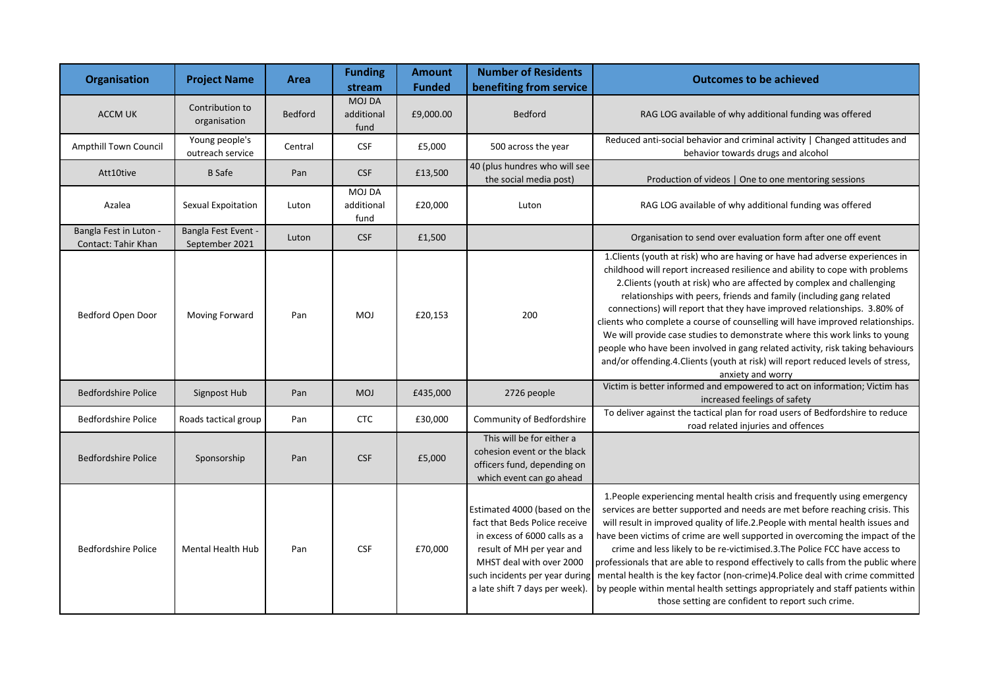| <b>Organisation</b>                           | <b>Project Name</b>                   | Area           | <b>Funding</b><br>stream            | <b>Amount</b><br><b>Funded</b> | <b>Number of Residents</b><br>benefiting from service                                                                                                                                                                      | <b>Outcomes to be achieved</b>                                                                                                                                                                                                                                                                                                                                                                                                                                                                                                                                                                                                                                                                                                                         |
|-----------------------------------------------|---------------------------------------|----------------|-------------------------------------|--------------------------------|----------------------------------------------------------------------------------------------------------------------------------------------------------------------------------------------------------------------------|--------------------------------------------------------------------------------------------------------------------------------------------------------------------------------------------------------------------------------------------------------------------------------------------------------------------------------------------------------------------------------------------------------------------------------------------------------------------------------------------------------------------------------------------------------------------------------------------------------------------------------------------------------------------------------------------------------------------------------------------------------|
| <b>ACCM UK</b>                                | Contribution to<br>organisation       | <b>Bedford</b> | <b>MOJ DA</b><br>additional<br>fund | £9,000.00                      | <b>Bedford</b>                                                                                                                                                                                                             | RAG LOG available of why additional funding was offered                                                                                                                                                                                                                                                                                                                                                                                                                                                                                                                                                                                                                                                                                                |
| Ampthill Town Council                         | Young people's<br>outreach service    | Central        | <b>CSF</b>                          | £5,000                         | 500 across the year                                                                                                                                                                                                        | Reduced anti-social behavior and criminal activity   Changed attitudes and<br>behavior towards drugs and alcohol                                                                                                                                                                                                                                                                                                                                                                                                                                                                                                                                                                                                                                       |
| Att10tive                                     | <b>B</b> Safe                         | Pan            | <b>CSF</b>                          | £13,500                        | 40 (plus hundres who will see<br>the social media post)                                                                                                                                                                    | Production of videos   One to one mentoring sessions                                                                                                                                                                                                                                                                                                                                                                                                                                                                                                                                                                                                                                                                                                   |
| Azalea                                        | Sexual Expoitation                    | Luton          | <b>MOJ DA</b><br>additional<br>fund | £20,000                        | Luton                                                                                                                                                                                                                      | RAG LOG available of why additional funding was offered                                                                                                                                                                                                                                                                                                                                                                                                                                                                                                                                                                                                                                                                                                |
| Bangla Fest in Luton -<br>Contact: Tahir Khan | Bangla Fest Event -<br>September 2021 | Luton          | <b>CSF</b>                          | £1,500                         |                                                                                                                                                                                                                            | Organisation to send over evaluation form after one off event                                                                                                                                                                                                                                                                                                                                                                                                                                                                                                                                                                                                                                                                                          |
| Bedford Open Door                             | Moving Forward                        | Pan            | <b>MOJ</b>                          | £20,153                        | 200                                                                                                                                                                                                                        | 1. Clients (youth at risk) who are having or have had adverse experiences in<br>childhood will report increased resilience and ability to cope with problems<br>2. Clients (youth at risk) who are affected by complex and challenging<br>relationships with peers, friends and family (including gang related<br>connections) will report that they have improved relationships. 3.80% of<br>clients who complete a course of counselling will have improved relationships.<br>We will provide case studies to demonstrate where this work links to young<br>people who have been involved in gang related activity, risk taking behaviours<br>and/or offending.4. Clients (youth at risk) will report reduced levels of stress,<br>anxiety and worry |
| <b>Bedfordshire Police</b>                    | Signpost Hub                          | Pan            | <b>MOJ</b>                          | £435,000                       | 2726 people                                                                                                                                                                                                                | Victim is better informed and empowered to act on information; Victim has<br>increased feelings of safety                                                                                                                                                                                                                                                                                                                                                                                                                                                                                                                                                                                                                                              |
| <b>Bedfordshire Police</b>                    | Roads tactical group                  | Pan            | <b>CTC</b>                          | £30,000                        | Community of Bedfordshire                                                                                                                                                                                                  | To deliver against the tactical plan for road users of Bedfordshire to reduce<br>road related injuries and offences                                                                                                                                                                                                                                                                                                                                                                                                                                                                                                                                                                                                                                    |
| <b>Bedfordshire Police</b>                    | Sponsorship                           | Pan            | <b>CSF</b>                          | £5,000                         | This will be for either a<br>cohesion event or the black<br>officers fund, depending on<br>which event can go ahead                                                                                                        |                                                                                                                                                                                                                                                                                                                                                                                                                                                                                                                                                                                                                                                                                                                                                        |
| <b>Bedfordshire Police</b>                    | <b>Mental Health Hub</b>              | Pan            | <b>CSF</b>                          | £70,000                        | Estimated 4000 (based on the<br>fact that Beds Police receive<br>in excess of 6000 calls as a<br>result of MH per year and<br>MHST deal with over 2000<br>such incidents per year during<br>a late shift 7 days per week). | 1. People experiencing mental health crisis and frequently using emergency<br>services are better supported and needs are met before reaching crisis. This<br>will result in improved quality of life.2. People with mental health issues and<br>have been victims of crime are well supported in overcoming the impact of the<br>crime and less likely to be re-victimised.3. The Police FCC have access to<br>professionals that are able to respond effectively to calls from the public where<br>mental health is the key factor (non-crime)4. Police deal with crime committed<br>by people within mental health settings appropriately and staff patients within<br>those setting are confident to report such crime.                            |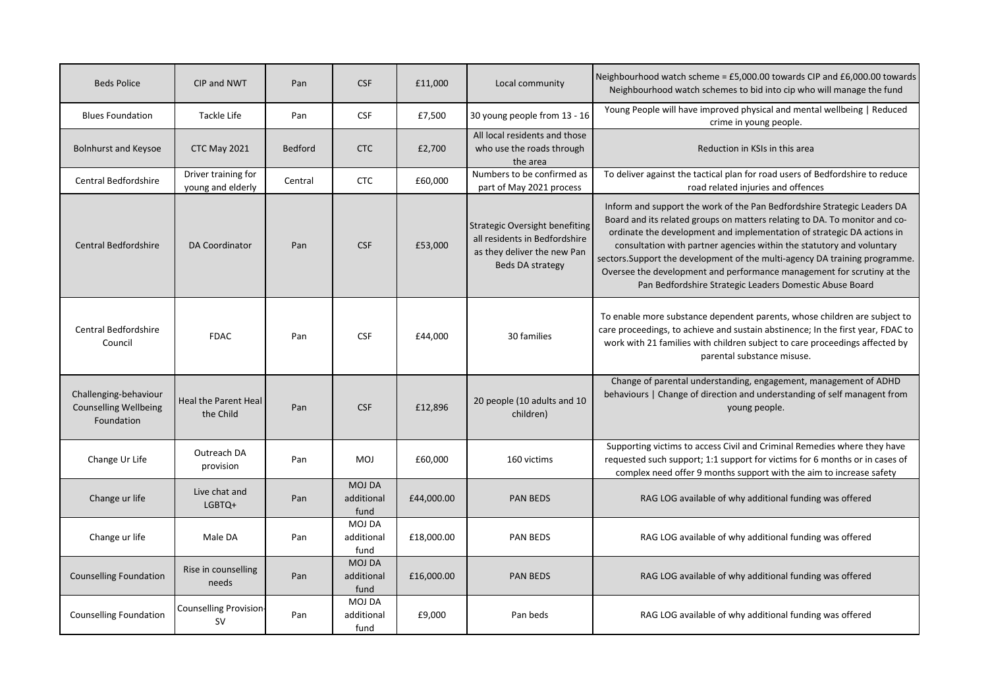| <b>Beds Police</b>                                                  | CIP and NWT                              | Pan            | <b>CSF</b>                          | £11,000    | Local community                                                                                                           | Neighbourhood watch scheme = £5,000.00 towards CIP and £6,000.00 towards<br>Neighbourhood watch schemes to bid into cip who will manage the fund                                                                                                                                                                                                                                                                                                                                                                              |
|---------------------------------------------------------------------|------------------------------------------|----------------|-------------------------------------|------------|---------------------------------------------------------------------------------------------------------------------------|-------------------------------------------------------------------------------------------------------------------------------------------------------------------------------------------------------------------------------------------------------------------------------------------------------------------------------------------------------------------------------------------------------------------------------------------------------------------------------------------------------------------------------|
| <b>Blues Foundation</b>                                             | Tackle Life                              | Pan            | <b>CSF</b>                          | £7,500     | 30 young people from 13 - 16                                                                                              | Young People will have improved physical and mental wellbeing   Reduced<br>crime in young people.                                                                                                                                                                                                                                                                                                                                                                                                                             |
| <b>Bolnhurst and Keysoe</b>                                         | CTC May 2021                             | <b>Bedford</b> | <b>CTC</b>                          | £2,700     | All local residents and those<br>who use the roads through<br>the area                                                    | Reduction in KSIs in this area                                                                                                                                                                                                                                                                                                                                                                                                                                                                                                |
| <b>Central Bedfordshire</b>                                         | Driver training for<br>young and elderly | Central        | <b>CTC</b>                          | £60,000    | Numbers to be confirmed as<br>part of May 2021 process                                                                    | To deliver against the tactical plan for road users of Bedfordshire to reduce<br>road related injuries and offences                                                                                                                                                                                                                                                                                                                                                                                                           |
| <b>Central Bedfordshire</b>                                         | DA Coordinator                           | Pan            | <b>CSF</b>                          | £53,000    | <b>Strategic Oversight benefiting</b><br>all residents in Bedfordshire<br>as they deliver the new Pan<br>Beds DA strategy | Inform and support the work of the Pan Bedfordshire Strategic Leaders DA<br>Board and its related groups on matters relating to DA. To monitor and co-<br>ordinate the development and implementation of strategic DA actions in<br>consultation with partner agencies within the statutory and voluntary<br>sectors. Support the development of the multi-agency DA training programme.<br>Oversee the development and performance management for scrutiny at the<br>Pan Bedfordshire Strategic Leaders Domestic Abuse Board |
| <b>Central Bedfordshire</b><br>Council                              | <b>FDAC</b>                              | Pan            | <b>CSF</b>                          | £44,000    | 30 families                                                                                                               | To enable more substance dependent parents, whose children are subject to<br>care proceedings, to achieve and sustain abstinence; In the first year, FDAC to<br>work with 21 families with children subject to care proceedings affected by<br>parental substance misuse.                                                                                                                                                                                                                                                     |
| Challenging-behaviour<br><b>Counselling Wellbeing</b><br>Foundation | <b>Heal the Parent Heal</b><br>the Child | Pan            | <b>CSF</b>                          | £12,896    | 20 people (10 adults and 10<br>children)                                                                                  | Change of parental understanding, engagement, management of ADHD<br>behaviours   Change of direction and understanding of self managent from<br>young people.                                                                                                                                                                                                                                                                                                                                                                 |
| Change Ur Life                                                      | Outreach DA<br>provision                 | Pan            | <b>MOJ</b>                          | £60,000    | 160 victims                                                                                                               | Supporting victims to access Civil and Criminal Remedies where they have<br>requested such support; 1:1 support for victims for 6 months or in cases of<br>complex need offer 9 months support with the aim to increase safety                                                                                                                                                                                                                                                                                                |
| Change ur life                                                      | Live chat and<br>LGBTQ+                  | Pan            | <b>MOJ DA</b><br>additional<br>fund | £44,000.00 | PAN BEDS                                                                                                                  | RAG LOG available of why additional funding was offered                                                                                                                                                                                                                                                                                                                                                                                                                                                                       |
| Change ur life                                                      | Male DA                                  | Pan            | <b>MOJ DA</b><br>additional<br>fund | £18,000.00 | <b>PAN BEDS</b>                                                                                                           | RAG LOG available of why additional funding was offered                                                                                                                                                                                                                                                                                                                                                                                                                                                                       |
| <b>Counselling Foundation</b>                                       | Rise in counselling<br>needs             | Pan            | <b>MOJ DA</b><br>additional<br>fund | £16,000.00 | <b>PAN BEDS</b>                                                                                                           | RAG LOG available of why additional funding was offered                                                                                                                                                                                                                                                                                                                                                                                                                                                                       |
| <b>Counselling Foundation</b>                                       | Counselling Provision<br><b>SV</b>       | Pan            | <b>MOJ DA</b><br>additional<br>fund | £9,000     | Pan beds                                                                                                                  | RAG LOG available of why additional funding was offered                                                                                                                                                                                                                                                                                                                                                                                                                                                                       |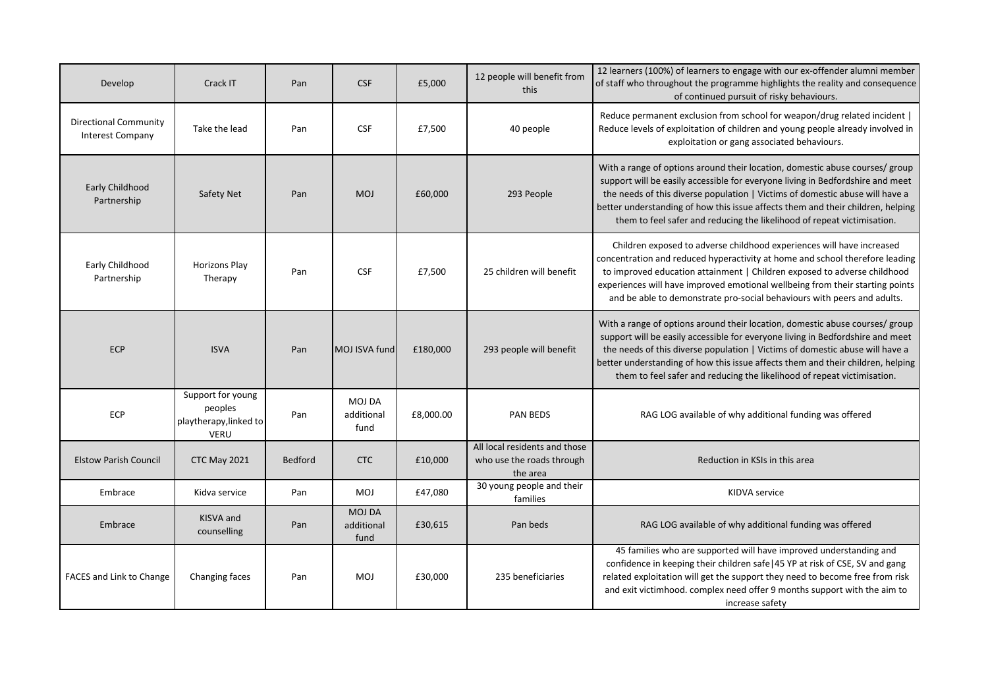| Develop                                                 | Crack IT                                                              | Pan     | <b>CSF</b>                          | £5,000    | 12 people will benefit from<br>this                                    | 12 learners (100%) of learners to engage with our ex-offender alumni member<br>of staff who throughout the programme highlights the reality and consequence<br>of continued pursuit of risky behaviours.                                                                                                                                                                                                     |
|---------------------------------------------------------|-----------------------------------------------------------------------|---------|-------------------------------------|-----------|------------------------------------------------------------------------|--------------------------------------------------------------------------------------------------------------------------------------------------------------------------------------------------------------------------------------------------------------------------------------------------------------------------------------------------------------------------------------------------------------|
| <b>Directional Community</b><br><b>Interest Company</b> | Take the lead                                                         | Pan     | <b>CSF</b>                          | £7,500    | 40 people                                                              | Reduce permanent exclusion from school for weapon/drug related incident  <br>Reduce levels of exploitation of children and young people already involved in<br>exploitation or gang associated behaviours.                                                                                                                                                                                                   |
| Early Childhood<br>Partnership                          | Safety Net                                                            | Pan     | <b>MOJ</b>                          | £60,000   | 293 People                                                             | With a range of options around their location, domestic abuse courses/ group<br>support will be easily accessible for everyone living in Bedfordshire and meet<br>the needs of this diverse population   Victims of domestic abuse will have a<br>better understanding of how this issue affects them and their children, helping<br>them to feel safer and reducing the likelihood of repeat victimisation. |
| Early Childhood<br>Partnership                          | <b>Horizons Play</b><br>Therapy                                       | Pan     | <b>CSF</b>                          | £7,500    | 25 children will benefit                                               | Children exposed to adverse childhood experiences will have increased<br>concentration and reduced hyperactivity at home and school therefore leading<br>to improved education attainment   Children exposed to adverse childhood<br>experiences will have improved emotional wellbeing from their starting points<br>and be able to demonstrate pro-social behaviours with peers and adults.                |
| <b>ECP</b>                                              | <b>ISVA</b>                                                           | Pan     | MOJ ISVA fund                       | £180,000  | 293 people will benefit                                                | With a range of options around their location, domestic abuse courses/ group<br>support will be easily accessible for everyone living in Bedfordshire and meet<br>the needs of this diverse population   Victims of domestic abuse will have a<br>better understanding of how this issue affects them and their children, helping<br>them to feel safer and reducing the likelihood of repeat victimisation. |
| ECP                                                     | Support for young<br>peoples<br>playtherapy, linked to<br><b>VERU</b> | Pan     | <b>MOJ DA</b><br>additional<br>fund | £8,000.00 | PAN BEDS                                                               | RAG LOG available of why additional funding was offered                                                                                                                                                                                                                                                                                                                                                      |
| <b>Elstow Parish Council</b>                            | CTC May 2021                                                          | Bedford | <b>CTC</b>                          | £10,000   | All local residents and those<br>who use the roads through<br>the area | Reduction in KSIs in this area                                                                                                                                                                                                                                                                                                                                                                               |
| Embrace                                                 | Kidva service                                                         | Pan     | <b>MOJ</b>                          | £47,080   | 30 young people and their<br>families                                  | KIDVA service                                                                                                                                                                                                                                                                                                                                                                                                |
| Embrace                                                 | <b>KISVA</b> and<br>counselling                                       | Pan     | <b>MOJ DA</b><br>additional<br>fund | £30,615   | Pan beds                                                               | RAG LOG available of why additional funding was offered                                                                                                                                                                                                                                                                                                                                                      |
| FACES and Link to Change                                | Changing faces                                                        | Pan     | <b>MOJ</b>                          | £30,000   | 235 beneficiaries                                                      | 45 families who are supported will have improved understanding and<br>confidence in keeping their children safe   45 YP at risk of CSE, SV and gang<br>related exploitation will get the support they need to become free from risk<br>and exit victimhood. complex need offer 9 months support with the aim to<br>increase safety                                                                           |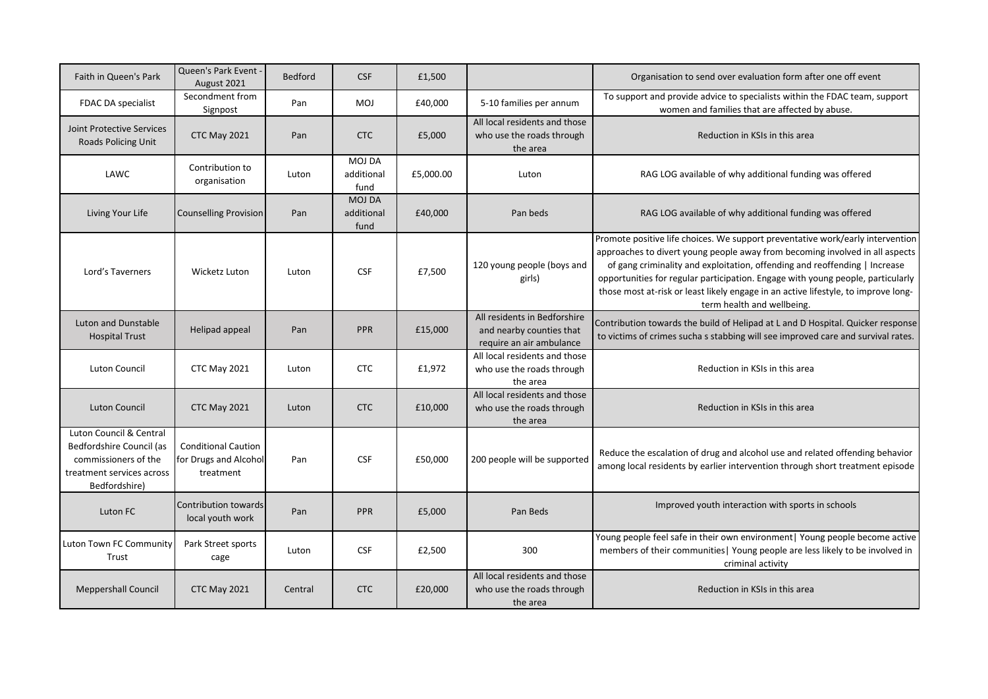| Faith in Queen's Park                                                                                                     | Queen's Park Event -<br>August 2021                              | <b>Bedford</b> | <b>CSF</b>                          | £1,500    |                                                                                      | Organisation to send over evaluation form after one off event                                                                                                                                                                                                                                                                                                                                                                                       |
|---------------------------------------------------------------------------------------------------------------------------|------------------------------------------------------------------|----------------|-------------------------------------|-----------|--------------------------------------------------------------------------------------|-----------------------------------------------------------------------------------------------------------------------------------------------------------------------------------------------------------------------------------------------------------------------------------------------------------------------------------------------------------------------------------------------------------------------------------------------------|
| FDAC DA specialist                                                                                                        | Secondment from<br>Signpost                                      | Pan            | <b>MOJ</b>                          | £40,000   | 5-10 families per annum                                                              | To support and provide advice to specialists within the FDAC team, support<br>women and families that are affected by abuse.                                                                                                                                                                                                                                                                                                                        |
| <b>Joint Protective Services</b><br><b>Roads Policing Unit</b>                                                            | CTC May 2021                                                     | Pan            | <b>CTC</b>                          | £5,000    | All local residents and those<br>who use the roads through<br>the area               | Reduction in KSIs in this area                                                                                                                                                                                                                                                                                                                                                                                                                      |
| LAWC                                                                                                                      | Contribution to<br>organisation                                  | Luton          | <b>MOJ DA</b><br>additional<br>fund | £5,000.00 | Luton                                                                                | RAG LOG available of why additional funding was offered                                                                                                                                                                                                                                                                                                                                                                                             |
| Living Your Life                                                                                                          | <b>Counselling Provision</b>                                     | Pan            | <b>MOJ DA</b><br>additional<br>fund | £40,000   | Pan beds                                                                             | RAG LOG available of why additional funding was offered                                                                                                                                                                                                                                                                                                                                                                                             |
| Lord's Taverners                                                                                                          | <b>Wicketz Luton</b>                                             | Luton          | <b>CSF</b>                          | £7,500    | 120 young people (boys and<br>girls)                                                 | Promote positive life choices. We support preventative work/early intervention<br>approaches to divert young people away from becoming involved in all aspects<br>of gang criminality and exploitation, offending and reoffending   Increase<br>opportunities for regular participation. Engage with young people, particularly<br>those most at-risk or least likely engage in an active lifestyle, to improve long-<br>term health and wellbeing. |
| Luton and Dunstable<br><b>Hospital Trust</b>                                                                              | Helipad appeal                                                   | Pan            | <b>PPR</b>                          | £15,000   | All residents in Bedforshire<br>and nearby counties that<br>require an air ambulance | Contribution towards the build of Helipad at L and D Hospital. Quicker response<br>to victims of crimes sucha s stabbing will see improved care and survival rates.                                                                                                                                                                                                                                                                                 |
| <b>Luton Council</b>                                                                                                      | CTC May 2021                                                     | Luton          | <b>CTC</b>                          | £1,972    | All local residents and those<br>who use the roads through<br>the area               | Reduction in KSIs in this area                                                                                                                                                                                                                                                                                                                                                                                                                      |
| <b>Luton Council</b>                                                                                                      | CTC May 2021                                                     | Luton          | <b>CTC</b>                          | £10,000   | All local residents and those<br>who use the roads through<br>the area               | Reduction in KSIs in this area                                                                                                                                                                                                                                                                                                                                                                                                                      |
| Luton Council & Central<br>Bedfordshire Council (as<br>commissioners of the<br>treatment services across<br>Bedfordshire) | <b>Conditional Caution</b><br>for Drugs and Alcohol<br>treatment | Pan            | <b>CSF</b>                          | £50,000   | 200 people will be supported                                                         | Reduce the escalation of drug and alcohol use and related offending behavior<br>among local residents by earlier intervention through short treatment episode                                                                                                                                                                                                                                                                                       |
| Luton FC                                                                                                                  | Contribution towards<br>local youth work                         | Pan            | <b>PPR</b>                          | £5,000    | Pan Beds                                                                             | Improved youth interaction with sports in schools                                                                                                                                                                                                                                                                                                                                                                                                   |
| Luton Town FC Community<br>Trust                                                                                          | Park Street sports<br>cage                                       | Luton          | <b>CSF</b>                          | £2,500    | 300                                                                                  | Young people feel safe in their own environment   Young people become active<br>members of their communities   Young people are less likely to be involved in<br>criminal activity                                                                                                                                                                                                                                                                  |
| <b>Meppershall Council</b>                                                                                                | CTC May 2021                                                     | Central        | <b>CTC</b>                          | £20,000   | All local residents and those<br>who use the roads through<br>the area               | Reduction in KSIs in this area                                                                                                                                                                                                                                                                                                                                                                                                                      |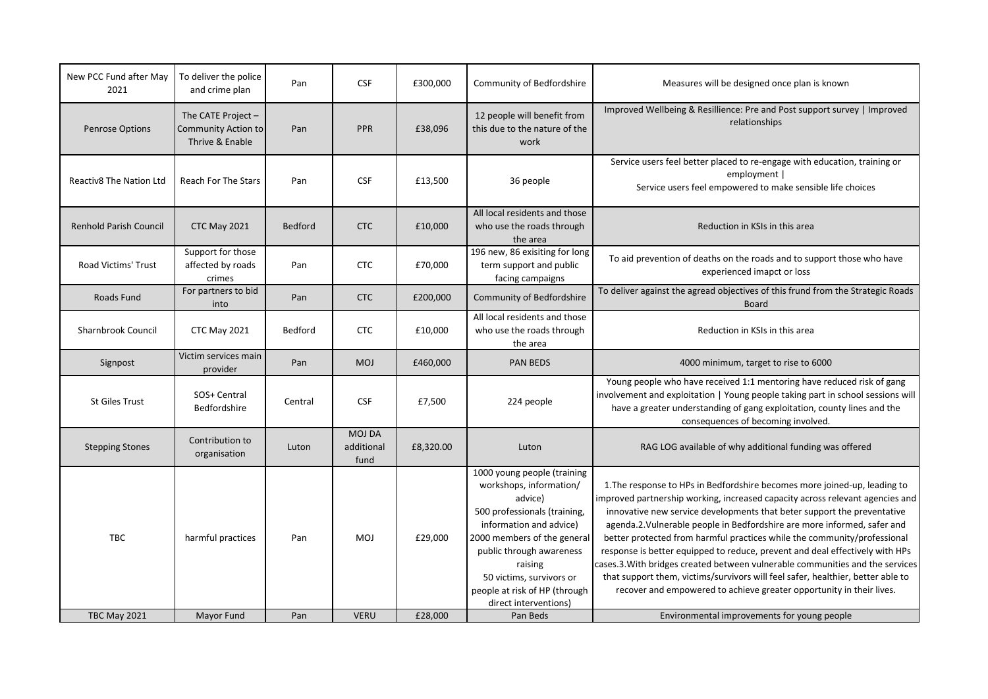| New PCC Fund after May<br>2021 | To deliver the police<br>and crime plan                      | Pan            | <b>CSF</b>                          | £300,000  | Community of Bedfordshire                                                                                                                                                                                                                                                                | Measures will be designed once plan is known                                                                                                                                                                                                                                                                                                                                                                                                                                                                                                                                                                                                                                                                              |
|--------------------------------|--------------------------------------------------------------|----------------|-------------------------------------|-----------|------------------------------------------------------------------------------------------------------------------------------------------------------------------------------------------------------------------------------------------------------------------------------------------|---------------------------------------------------------------------------------------------------------------------------------------------------------------------------------------------------------------------------------------------------------------------------------------------------------------------------------------------------------------------------------------------------------------------------------------------------------------------------------------------------------------------------------------------------------------------------------------------------------------------------------------------------------------------------------------------------------------------------|
| Penrose Options                | The CATE Project -<br>Community Action to<br>Thrive & Enable | Pan            | <b>PPR</b>                          | £38,096   | 12 people will benefit from<br>this due to the nature of the<br>work                                                                                                                                                                                                                     | Improved Wellbeing & Resillience: Pre and Post support survey   Improved<br>relationships                                                                                                                                                                                                                                                                                                                                                                                                                                                                                                                                                                                                                                 |
| <b>Reactiv8 The Nation Ltd</b> | <b>Reach For The Stars</b>                                   | Pan            | <b>CSF</b>                          | £13,500   | 36 people                                                                                                                                                                                                                                                                                | Service users feel better placed to re-engage with education, training or<br>employment  <br>Service users feel empowered to make sensible life choices                                                                                                                                                                                                                                                                                                                                                                                                                                                                                                                                                                   |
| <b>Renhold Parish Council</b>  | <b>CTC May 2021</b>                                          | <b>Bedford</b> | <b>CTC</b>                          | £10,000   | All local residents and those<br>who use the roads through<br>the area                                                                                                                                                                                                                   | Reduction in KSIs in this area                                                                                                                                                                                                                                                                                                                                                                                                                                                                                                                                                                                                                                                                                            |
| <b>Road Victims' Trust</b>     | Support for those<br>affected by roads<br>crimes             | Pan            | <b>CTC</b>                          | £70,000   | 196 new, 86 exisiting for long<br>term support and public<br>facing campaigns                                                                                                                                                                                                            | To aid prevention of deaths on the roads and to support those who have<br>experienced imapct or loss                                                                                                                                                                                                                                                                                                                                                                                                                                                                                                                                                                                                                      |
| Roads Fund                     | For partners to bid<br>into                                  | Pan            | <b>CTC</b>                          | £200,000  | Community of Bedfordshire                                                                                                                                                                                                                                                                | To deliver against the agread objectives of this frund from the Strategic Roads<br><b>Board</b>                                                                                                                                                                                                                                                                                                                                                                                                                                                                                                                                                                                                                           |
| Sharnbrook Council             | <b>CTC May 2021</b>                                          | Bedford        | <b>CTC</b>                          | £10,000   | All local residents and those<br>who use the roads through<br>the area                                                                                                                                                                                                                   | Reduction in KSIs in this area                                                                                                                                                                                                                                                                                                                                                                                                                                                                                                                                                                                                                                                                                            |
| Signpost                       | Victim services main<br>provider                             | Pan            | <b>MOJ</b>                          | £460,000  | <b>PAN BEDS</b>                                                                                                                                                                                                                                                                          | 4000 minimum, target to rise to 6000                                                                                                                                                                                                                                                                                                                                                                                                                                                                                                                                                                                                                                                                                      |
| <b>St Giles Trust</b>          | SOS+ Central<br>Bedfordshire                                 | Central        | <b>CSF</b>                          | £7,500    | 224 people                                                                                                                                                                                                                                                                               | Young people who have received 1:1 mentoring have reduced risk of gang<br>involvement and exploitation   Young people taking part in school sessions will<br>have a greater understanding of gang exploitation, county lines and the<br>consequences of becoming involved.                                                                                                                                                                                                                                                                                                                                                                                                                                                |
| <b>Stepping Stones</b>         | Contribution to<br>organisation                              | Luton          | <b>MOJ DA</b><br>additional<br>fund | £8,320.00 | Luton                                                                                                                                                                                                                                                                                    | RAG LOG available of why additional funding was offered                                                                                                                                                                                                                                                                                                                                                                                                                                                                                                                                                                                                                                                                   |
| <b>TBC</b>                     | harmful practices                                            | Pan            | <b>MOJ</b>                          | £29,000   | 1000 young people (training<br>workshops, information/<br>advice)<br>500 professionals (training,<br>information and advice)<br>2000 members of the general<br>public through awareness<br>raising<br>50 victims, survivors or<br>people at risk of HP (through<br>direct interventions) | 1. The response to HPs in Bedfordshire becomes more joined-up, leading to<br>improved partnership working, increased capacity across relevant agencies and<br>innovative new service developments that beter support the preventative<br>agenda.2. Vulnerable people in Bedfordshire are more informed, safer and<br>better protected from harmful practices while the community/professional<br>response is better equipped to reduce, prevent and deal effectively with HPs<br>cases.3. With bridges created between vulnerable communities and the services<br>that support them, victims/survivors will feel safer, healthier, better able to<br>recover and empowered to achieve greater opportunity in their lives. |
| <b>TBC May 2021</b>            | Mayor Fund                                                   | Pan            | <b>VERU</b>                         | £28,000   | Pan Beds                                                                                                                                                                                                                                                                                 | Environmental improvements for young people                                                                                                                                                                                                                                                                                                                                                                                                                                                                                                                                                                                                                                                                               |